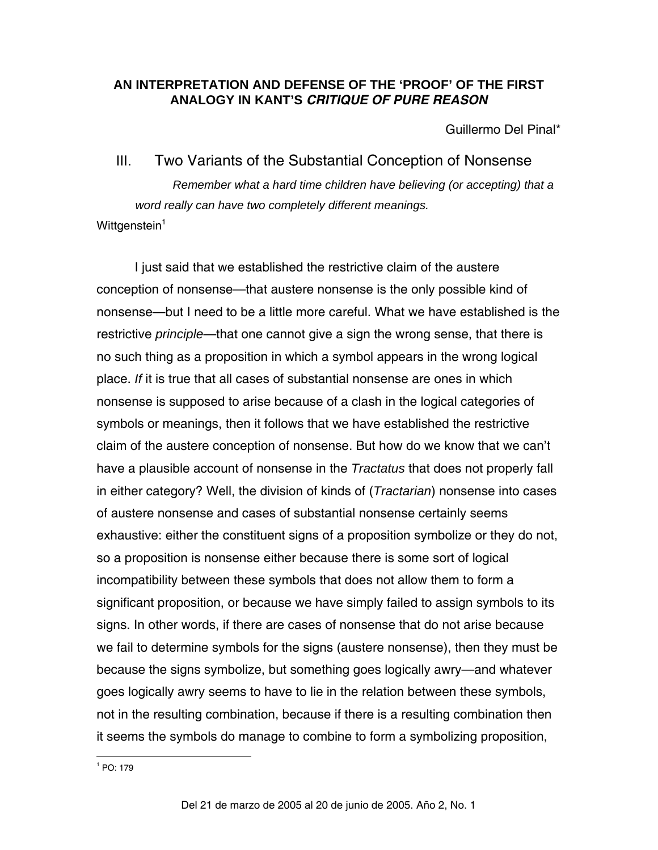# **AN INTERPRETATION AND DEFENSE OF THE 'PROOF' OF THE FIRST ANALOGY IN KANT'S** *CRITIQUE OF PURE REASON*

Guillermo Del Pinal\*

III. Two Variants of the Substantial Conception of Nonsense *Remember what a hard time children have believing (or accepting) that a word really can have two completely different meanings.*  Wittgenstein<sup>[1](#page-0-0)</sup>

<span id="page-0-0"></span>I just said that we established the restrictive claim of the austere conception of nonsense—that austere nonsense is the only possible kind of nonsense—but I need to be a little more careful. What we have established is the restrictive *principle*—that one cannot give a sign the wrong sense, that there is no such thing as a proposition in which a symbol appears in the wrong logical place. *If* it is true that all cases of substantial nonsense are ones in which nonsense is supposed to arise because of a clash in the logical categories of symbols or meanings, then it follows that we have established the restrictive claim of the austere conception of nonsense. But how do we know that we can't have a plausible account of nonsense in the *Tractatus* that does not properly fall in either category? Well, the division of kinds of (*Tractarian*) nonsense into cases of austere nonsense and cases of substantial nonsense certainly seems exhaustive: either the constituent signs of a proposition symbolize or they do not, so a proposition is nonsense either because there is some sort of logical incompatibility between these symbols that does not allow them to form a significant proposition, or because we have simply failed to assign symbols to its signs. In other words, if there are cases of nonsense that do not arise because we fail to determine symbols for the signs (austere nonsense), then they must be because the signs symbolize, but something goes logically awry—and whatever goes logically awry seems to have to lie in the relation between these symbols, not in the resulting combination, because if there is a resulting combination then it seems the symbols do manage to combine to form a symbolizing proposition,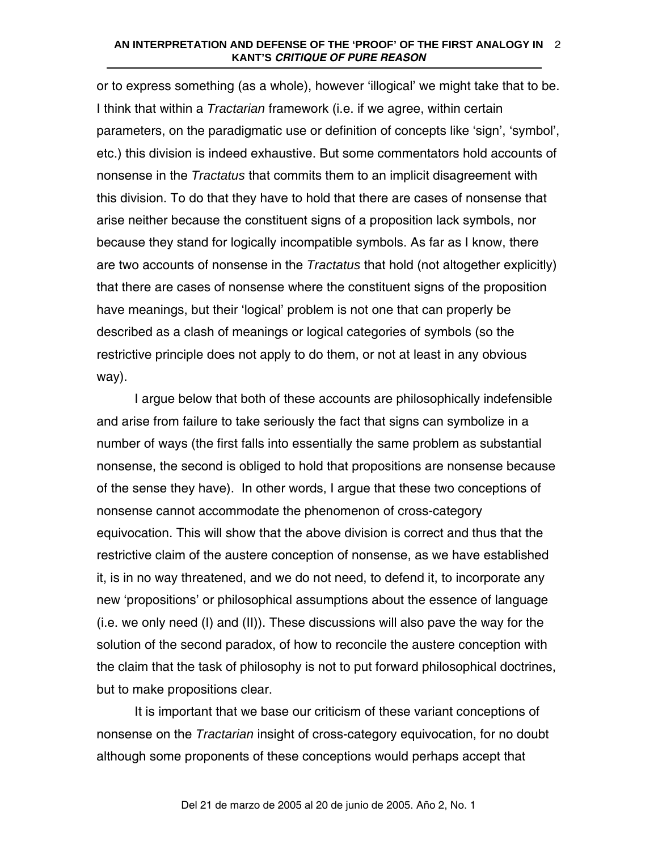#### **AN INTERPRETATION AND DEFENSE OF THE 'PROOF' OF THE FIRST ANALOGY IN**  2 **KANT'S** *CRITIQUE OF PURE REASON*

or to express something (as a whole), however 'illogical' we might take that to be. I think that within a *Tractarian* framework (i.e. if we agree, within certain parameters, on the paradigmatic use or definition of concepts like 'sign', 'symbol', etc.) this division is indeed exhaustive. But some commentators hold accounts of nonsense in the *Tractatus* that commits them to an implicit disagreement with this division. To do that they have to hold that there are cases of nonsense that arise neither because the constituent signs of a proposition lack symbols, nor because they stand for logically incompatible symbols. As far as I know, there are two accounts of nonsense in the *Tractatus* that hold (not altogether explicitly) that there are cases of nonsense where the constituent signs of the proposition have meanings, but their 'logical' problem is not one that can properly be described as a clash of meanings or logical categories of symbols (so the restrictive principle does not apply to do them, or not at least in any obvious way).

I argue below that both of these accounts are philosophically indefensible and arise from failure to take seriously the fact that signs can symbolize in a number of ways (the first falls into essentially the same problem as substantial nonsense, the second is obliged to hold that propositions are nonsense because of the sense they have). In other words, I argue that these two conceptions of nonsense cannot accommodate the phenomenon of cross-category equivocation. This will show that the above division is correct and thus that the restrictive claim of the austere conception of nonsense, as we have established it, is in no way threatened, and we do not need, to defend it, to incorporate any new 'propositions' or philosophical assumptions about the essence of language (i.e. we only need (I) and (II)). These discussions will also pave the way for the solution of the second paradox, of how to reconcile the austere conception with the claim that the task of philosophy is not to put forward philosophical doctrines, but to make propositions clear.

It is important that we base our criticism of these variant conceptions of nonsense on the *Tractarian* insight of cross-category equivocation, for no doubt although some proponents of these conceptions would perhaps accept that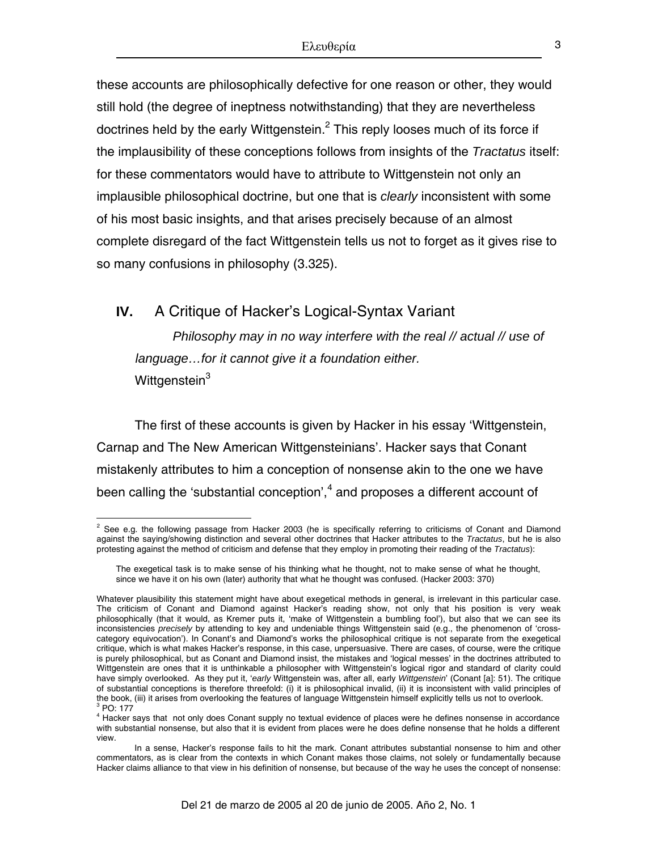these accounts are philosophically defective for one reason or other, they would still hold (the degree of ineptness notwithstanding) that they are nevertheless doctrines held by the early Wittgenstein.<sup>[2](#page-2-0)</sup> This reply looses much of its force if the implausibility of these conceptions follows from insights of the *Tractatus* itself: for these commentators would have to attribute to Wittgenstein not only an implausible philosophical doctrine, but one that is *clearly* inconsistent with some of his most basic insights, and that arises precisely because of an almost complete disregard of the fact Wittgenstein tells us not to forget as it gives rise to so many confusions in philosophy (3.325).

**IV.** A Critique of Hacker's Logical-Syntax Variant *Philosophy may in no way interfere with the real // actual // use of language…for it cannot give it a foundation either.* 

Wittgenstein<sup>[3](#page-2-1)</sup>

1

The first of these accounts is given by Hacker in his essay 'Wittgenstein, Carnap and The New American Wittgensteinians'. Hacker says that Conant mistakenly attributes to him a conception of nonsense akin to the one we have been calling the 'substantial conception', $4$  and proposes a different account of

<span id="page-2-0"></span> $2$  See e.g. the following passage from Hacker 2003 (he is specifically referring to criticisms of Conant and Diamond against the saying/showing distinction and several other doctrines that Hacker attributes to the *Tractatus*, but he is also protesting against the method of criticism and defense that they employ in promoting their reading of the *Tractatus*):

The exegetical task is to make sense of his thinking what he thought, not to make sense of what he thought, since we have it on his own (later) authority that what he thought was confused. (Hacker 2003: 370)

Whatever plausibility this statement might have about exegetical methods in general, is irrelevant in this particular case. The criticism of Conant and Diamond against Hacker's reading show, not only that his position is very weak philosophically (that it would, as Kremer puts it, 'make of Wittgenstein a bumbling fool'), but also that we can see its inconsistencies *precisely* by attending to key and undeniable things Wittgenstein said (e.g., the phenomenon of 'crosscategory equivocation'). In Conant's and Diamond's works the philosophical critique is not separate from the exegetical critique, which is what makes Hacker's response, in this case, unpersuasive. There are cases, of course, were the critique is purely philosophical, but as Conant and Diamond insist, the mistakes and 'logical messes' in the doctrines attributed to Wittgenstein are ones that it is unthinkable a philosopher with Wittgenstein's logical rigor and standard of clarity could have simply overlooked. As they put it, '*early* Wittgenstein was, after all, early *Wittgenstein*' (Conant [a]: 51). The critique of substantial conceptions is therefore threefold: (i) it is philosophical invalid, (ii) it is inconsistent with valid principles of the book, (iii) it arises from overlooking the features of language Wittgenstein himself explicitly tells us not to overlook.  $3^{3}$  PO: 177

<span id="page-2-2"></span><span id="page-2-1"></span><sup>&</sup>lt;sup>4</sup> Hacker says that not only does Conant supply no textual evidence of places were he defines nonsense in accordance with substantial nonsense, but also that it is evident from places were he does define nonsense that he holds a different view.

In a sense, Hacker's response fails to hit the mark. Conant attributes substantial nonsense to him and other commentators, as is clear from the contexts in which Conant makes those claims, not solely or fundamentally because Hacker claims alliance to that view in his definition of nonsense, but because of the way he uses the concept of nonsense: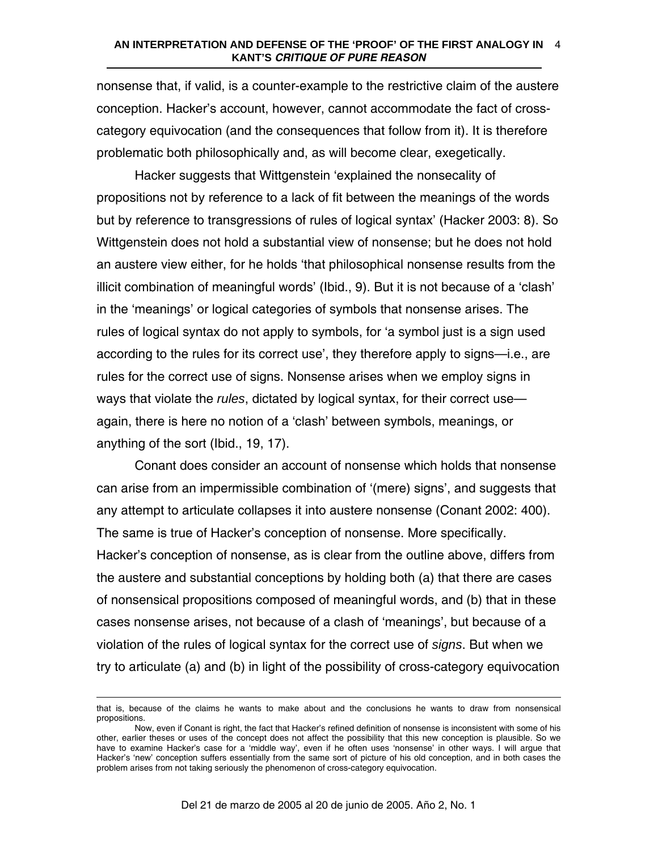#### **AN INTERPRETATION AND DEFENSE OF THE 'PROOF' OF THE FIRST ANALOGY IN**  4 **KANT'S** *CRITIQUE OF PURE REASON*

nonsense that, if valid, is a counter-example to the restrictive claim of the austere conception. Hacker's account, however, cannot accommodate the fact of crosscategory equivocation (and the consequences that follow from it). It is therefore problematic both philosophically and, as will become clear, exegetically.

Hacker suggests that Wittgenstein 'explained the nonsecality of propositions not by reference to a lack of fit between the meanings of the words but by reference to transgressions of rules of logical syntax' (Hacker 2003: 8). So Wittgenstein does not hold a substantial view of nonsense; but he does not hold an austere view either, for he holds 'that philosophical nonsense results from the illicit combination of meaningful words' (Ibid., 9). But it is not because of a 'clash' in the 'meanings' or logical categories of symbols that nonsense arises. The rules of logical syntax do not apply to symbols, for 'a symbol just is a sign used according to the rules for its correct use', they therefore apply to signs—i.e., are rules for the correct use of signs. Nonsense arises when we employ signs in ways that violate the *rules*, dictated by logical syntax, for their correct use again, there is here no notion of a 'clash' between symbols, meanings, or anything of the sort (Ibid., 19, 17).

Conant does consider an account of nonsense which holds that nonsense can arise from an impermissible combination of '(mere) signs', and suggests that any attempt to articulate collapses it into austere nonsense (Conant 2002: 400). The same is true of Hacker's conception of nonsense. More specifically. Hacker's conception of nonsense, as is clear from the outline above, differs from the austere and substantial conceptions by holding both (a) that there are cases of nonsensical propositions composed of meaningful words, and (b) that in these cases nonsense arises, not because of a clash of 'meanings', but because of a violation of the rules of logical syntax for the correct use of *signs*. But when we try to articulate (a) and (b) in light of the possibility of cross-category equivocation

<u>.</u>

that is, because of the claims he wants to make about and the conclusions he wants to draw from nonsensical propositions.

Now, even if Conant is right, the fact that Hacker's refined definition of nonsense is inconsistent with some of his other, earlier theses or uses of the concept does not affect the possibility that this new conception is plausible. So we have to examine Hacker's case for a 'middle way', even if he often uses 'nonsense' in other ways. I will argue that Hacker's 'new' conception suffers essentially from the same sort of picture of his old conception, and in both cases the problem arises from not taking seriously the phenomenon of cross-category equivocation.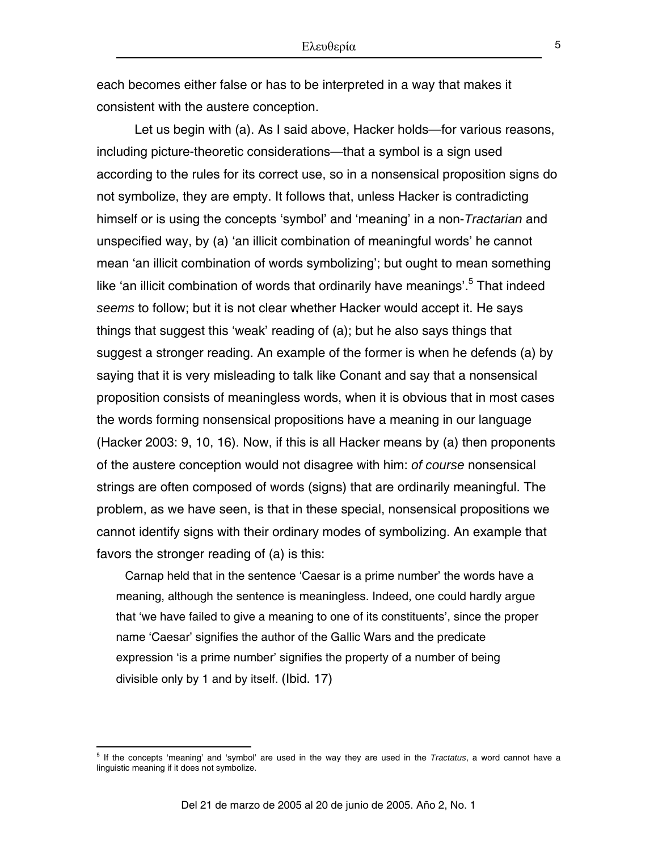each becomes either false or has to be interpreted in a way that makes it consistent with the austere conception.

Let us begin with (a). As I said above, Hacker holds—for various reasons, including picture-theoretic considerations—that a symbol is a sign used according to the rules for its correct use, so in a nonsensical proposition signs do not symbolize, they are empty. It follows that, unless Hacker is contradicting himself or is using the concepts 'symbol' and 'meaning' in a non-*Tractarian* and unspecified way, by (a) 'an illicit combination of meaningful words' he cannot mean 'an illicit combination of words symbolizing'; but ought to mean something like'an illicit combination of words that ordinarily have meanings'.<sup>5</sup> That indeed *seems* to follow; but it is not clear whether Hacker would accept it. He says things that suggest this 'weak' reading of (a); but he also says things that suggest a stronger reading. An example of the former is when he defends (a) by saying that it is very misleading to talk like Conant and say that a nonsensical proposition consists of meaningless words, when it is obvious that in most cases the words forming nonsensical propositions have a meaning in our language (Hacker 2003: 9, 10, 16). Now, if this is all Hacker means by (a) then proponents of the austere conception would not disagree with him: *of course* nonsensical strings are often composed of words (signs) that are ordinarily meaningful. The problem, as we have seen, is that in these special, nonsensical propositions we cannot identify signs with their ordinary modes of symbolizing. An example that favors the stronger reading of (a) is this:

Carnap held that in the sentence 'Caesar is a prime number' the words have a meaning, although the sentence is meaningless. Indeed, one could hardly argue that 'we have failed to give a meaning to one of its constituents', since the proper name 'Caesar' signifies the author of the Gallic Wars and the predicate expression 'is a prime number' signifies the property of a number of being divisible only by 1 and by itself. (Ibid. 17)

1

<span id="page-4-0"></span><sup>5</sup> If the concepts 'meaning' and 'symbol' are used in the way they are used in the *Tractatus*, a word cannot have a linguistic meaning if it does not symbolize.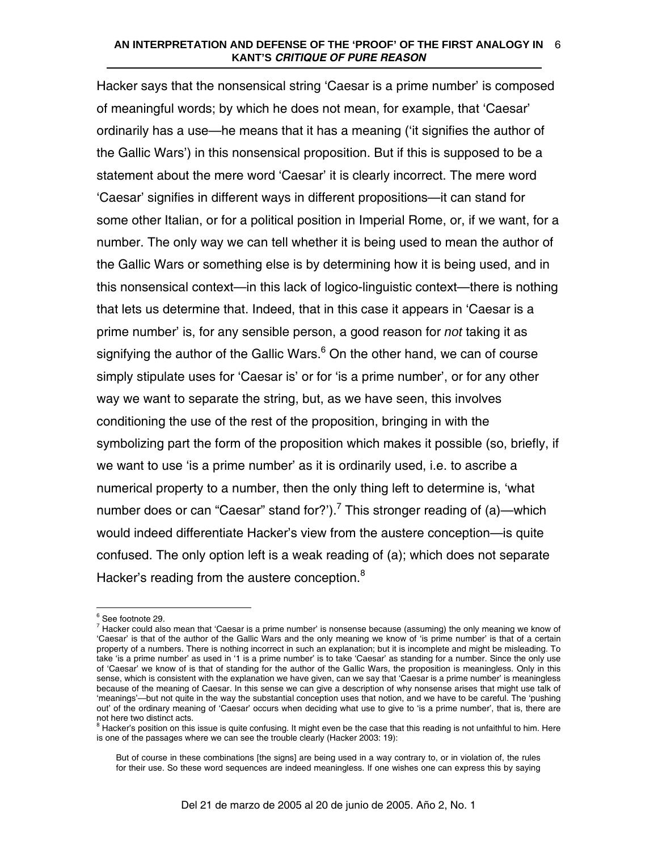### **AN INTERPRETATION AND DEFENSE OF THE 'PROOF' OF THE FIRST ANALOGY IN**  6 **KANT'S** *CRITIQUE OF PURE REASON*

Hacker says that the nonsensical string 'Caesar is a prime number' is composed of meaningful words; by which he does not mean, for example, that 'Caesar' ordinarily has a use—he means that it has a meaning ('it signifies the author of the Gallic Wars') in this nonsensical proposition. But if this is supposed to be a statement about the mere word 'Caesar' it is clearly incorrect. The mere word 'Caesar' signifies in different ways in different propositions—it can stand for some other Italian, or for a political position in Imperial Rome, or, if we want, for a number. The only way we can tell whether it is being used to mean the author of the Gallic Wars or something else is by determining how it is being used, and in this nonsensical context—in this lack of logico-linguistic context—there is nothing that lets us determine that. Indeed, that in this case it appears in 'Caesar is a prime number' is, for any sensible person, a good reason for *not* taking it as signifying the author of the Gallic Wars.<sup>[6](#page-5-0)</sup> On the other hand, we can of course simply stipulate uses for 'Caesar is' or for 'is a prime number', or for any other way we want to separate the string, but, as we have seen, this involves conditioning the use of the rest of the proposition, bringing in with the symbolizing part the form of the proposition which makes it possible (so, briefly, if we want to use 'is a prime number' as it is ordinarily used, i.e. to ascribe a numerical property to a number, then the only thing left to determine is, 'what number does or can "Caesar" stand for?').<sup>[7](#page-5-1)</sup> This stronger reading of (a)—which would indeed differentiate Hacker's view from the austere conception—is quite confused. The only option left is a weak reading of (a); which does not separate Hacker's reading from the austere conception.<sup>[8](#page-5-2)</sup>

 $\overline{a}$ 

<span id="page-5-2"></span> $8$  Hacker's position on this issue is quite confusing. It might even be the case that this reading is not unfaithful to him. Here is one of the passages where we can see the trouble clearly (Hacker 2003: 19):

<span id="page-5-0"></span> $^6$  See footnote 29.<br> $^7$  Hecker sould also

<span id="page-5-1"></span>Hacker could also mean that 'Caesar is a prime number' is nonsense because (assuming) the only meaning we know of 'Caesar' is that of the author of the Gallic Wars and the only meaning we know of 'is prime number' is that of a certain property of a numbers. There is nothing incorrect in such an explanation; but it is incomplete and might be misleading. To take 'is a prime number' as used in '1 is a prime number' is to take 'Caesar' as standing for a number. Since the only use of 'Caesar' we know of is that of standing for the author of the Gallic Wars, the proposition is meaningless. Only in this sense, which is consistent with the explanation we have given, can we say that 'Caesar is a prime number' is meaningless because of the meaning of Caesar. In this sense we can give a description of why nonsense arises that might use talk of 'meanings'—but not quite in the way the substantial conception uses that notion, and we have to be careful. The 'pushing out' of the ordinary meaning of 'Caesar' occurs when deciding what use to give to 'is a prime number', that is, there are not here two distinct acts.

But of course in these combinations [the signs] are being used in a way contrary to, or in violation of, the rules for their use. So these word sequences are indeed meaningless. If one wishes one can express this by saying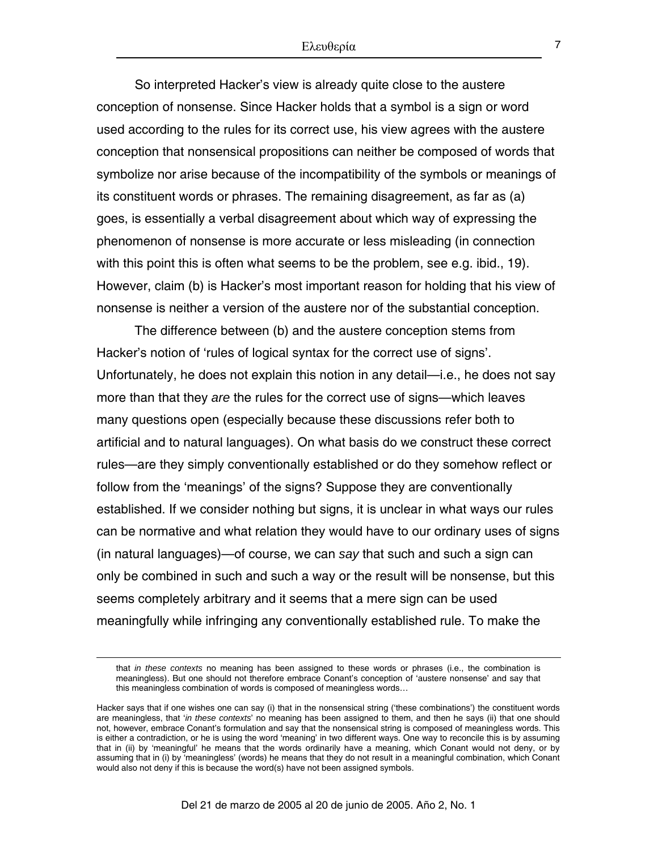So interpreted Hacker's view is already quite close to the austere conception of nonsense. Since Hacker holds that a symbol is a sign or word used according to the rules for its correct use, his view agrees with the austere conception that nonsensical propositions can neither be composed of words that symbolize nor arise because of the incompatibility of the symbols or meanings of its constituent words or phrases. The remaining disagreement, as far as (a) goes, is essentially a verbal disagreement about which way of expressing the phenomenon of nonsense is more accurate or less misleading (in connection with this point this is often what seems to be the problem, see e.g. ibid., 19). However, claim (b) is Hacker's most important reason for holding that his view of nonsense is neither a version of the austere nor of the substantial conception.

The difference between (b) and the austere conception stems from Hacker's notion of 'rules of logical syntax for the correct use of signs'. Unfortunately, he does not explain this notion in any detail—i.e., he does not say more than that they *are* the rules for the correct use of signs—which leaves many questions open (especially because these discussions refer both to artificial and to natural languages). On what basis do we construct these correct rules—are they simply conventionally established or do they somehow reflect or follow from the 'meanings' of the signs? Suppose they are conventionally established. If we consider nothing but signs, it is unclear in what ways our rules can be normative and what relation they would have to our ordinary uses of signs (in natural languages)—of course, we can *say* that such and such a sign can only be combined in such and such a way or the result will be nonsense, but this seems completely arbitrary and it seems that a mere sign can be used meaningfully while infringing any conventionally established rule. To make the

 $\overline{a}$ 

that *in these contexts* no meaning has been assigned to these words or phrases (i.e., the combination is meaningless). But one should not therefore embrace Conant's conception of 'austere nonsense' and say that this meaningless combination of words is composed of meaningless words…

Hacker says that if one wishes one can say (i) that in the nonsensical string ('these combinations') the constituent words are meaningless, that '*in these contexts*' no meaning has been assigned to them, and then he says (ii) that one should not, however, embrace Conant's formulation and say that the nonsensical string is composed of meaningless words. This is either a contradiction, or he is using the word 'meaning' in two different ways. One way to reconcile this is by assuming that in (ii) by 'meaningful' he means that the words ordinarily have a meaning, which Conant would not deny, or by assuming that in (i) by 'meaningless' (words) he means that they do not result in a meaningful combination, which Conant would also not deny if this is because the word(s) have not been assigned symbols.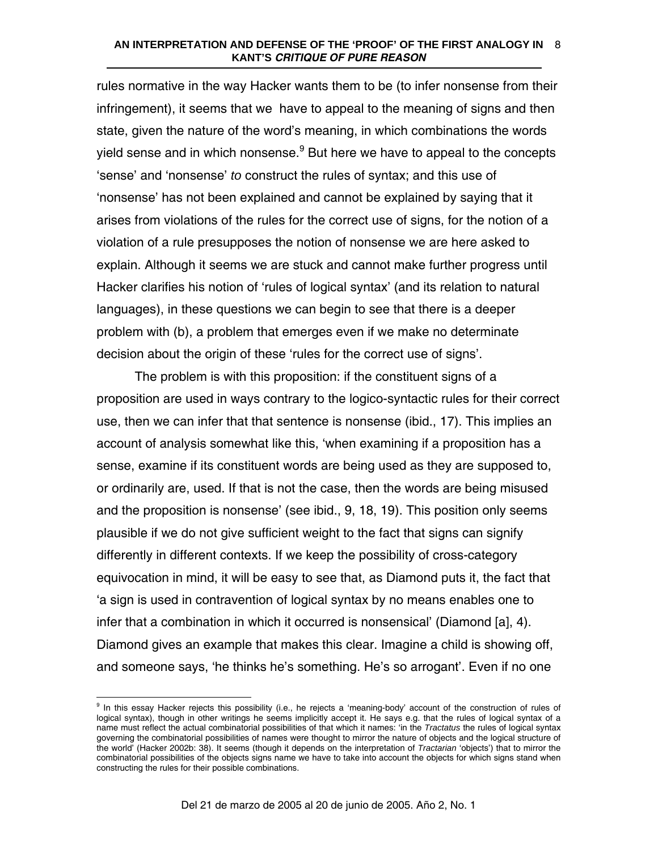### **AN INTERPRETATION AND DEFENSE OF THE 'PROOF' OF THE FIRST ANALOGY IN**  8 **KANT'S** *CRITIQUE OF PURE REASON*

rules normative in the way Hacker wants them to be (to infer nonsense from their infringement), it seems that we have to appeal to the meaning of signs and then state, given the nature of the word's meaning, in which combinations the words yield sense and in which nonsense.<sup>[9](#page-7-0)</sup> But here we have to appeal to the concepts 'sense' and 'nonsense' *to* construct the rules of syntax; and this use of 'nonsense' has not been explained and cannot be explained by saying that it arises from violations of the rules for the correct use of signs, for the notion of a violation of a rule presupposes the notion of nonsense we are here asked to explain. Although it seems we are stuck and cannot make further progress until Hacker clarifies his notion of 'rules of logical syntax' (and its relation to natural languages), in these questions we can begin to see that there is a deeper problem with (b), a problem that emerges even if we make no determinate decision about the origin of these 'rules for the correct use of signs'.

The problem is with this proposition: if the constituent signs of a proposition are used in ways contrary to the logico-syntactic rules for their correct use, then we can infer that that sentence is nonsense (ibid., 17). This implies an account of analysis somewhat like this, 'when examining if a proposition has a sense, examine if its constituent words are being used as they are supposed to, or ordinarily are, used. If that is not the case, then the words are being misused and the proposition is nonsense' (see ibid., 9, 18, 19). This position only seems plausible if we do not give sufficient weight to the fact that signs can signify differently in different contexts. If we keep the possibility of cross-category equivocation in mind, it will be easy to see that, as Diamond puts it, the fact that 'a sign is used in contravention of logical syntax by no means enables one to infer that a combination in which it occurred is nonsensical' (Diamond [a], 4). Diamond gives an example that makes this clear. Imagine a child is showing off, and someone says, 'he thinks he's something. He's so arrogant'. Even if no one

<span id="page-7-0"></span>eral in this essay Hacker rejects this possibility (i.e., he rejects a 'meaning-body' account of the construction of rules of<br>In this essay Hacker rejects this possibility (i.e., he rejects a 'meaning-body' account of the logical syntax), though in other writings he seems implicitly accept it. He says e.g. that the rules of logical syntax of a name must reflect the actual combinatorial possibilities of that which it names: 'in the *Tractatus* the rules of logical syntax governing the combinatorial possibilities of names were thought to mirror the nature of objects and the logical structure of the world' (Hacker 2002b: 38). It seems (though it depends on the interpretation of *Tractarian* 'objects') that to mirror the combinatorial possibilities of the objects signs name we have to take into account the objects for which signs stand when constructing the rules for their possible combinations.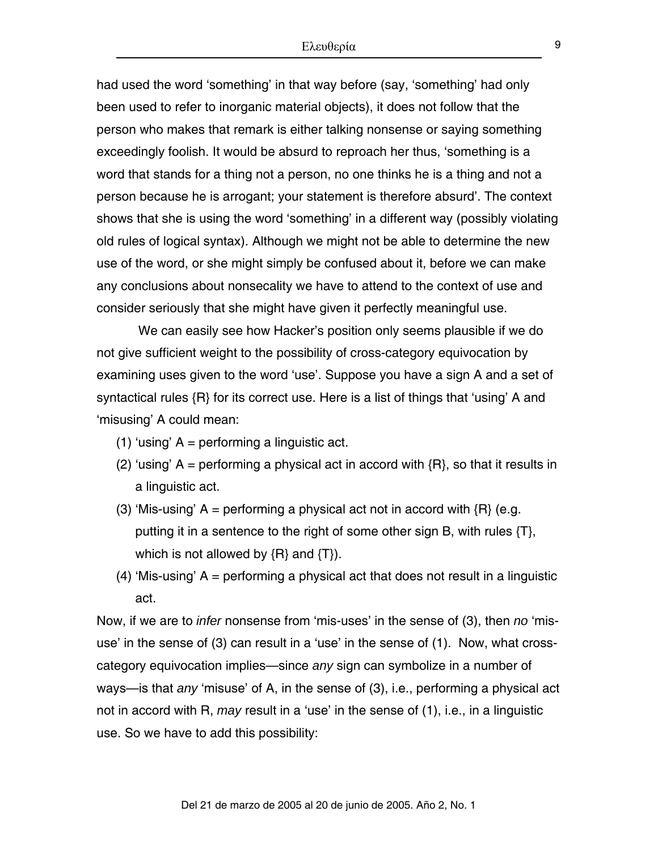had used the word 'something' in that way before (say, 'something' had only been used to refer to inorganic material objects), it does not follow that the person who makes that remark is either talking nonsense or saying something exceedingly foolish. It would be absurd to reproach her thus, 'something is a word that stands for a thing not a person, no one thinks he is a thing and not a person because he is arrogant; your statement is therefore absurd'. The context shows that she is using the word 'something' in a different way (possibly violating old rules of logical syntax). Although we might not be able to determine the new use of the word, or she might simply be confused about it, before we can make any conclusions about nonsecality we have to attend to the context of use and consider seriously that she might have given it perfectly meaningful use.

 We can easily see how Hacker's position only seems plausible if we do not give sufficient weight to the possibility of cross-category equivocation by examining uses given to the word 'use'. Suppose you have a sign A and a set of syntactical rules {R} for its correct use. Here is a list of things that 'using' A and 'misusing' A could mean:

- (1) 'using'  $A =$  performing a linguistic act.
- (2) 'using' A = performing a physical act in accord with  $\{R\}$ , so that it results in a linguistic act.
- (3) 'Mis-using' A = performing a physical act not in accord with  ${R}$  (e.g. putting it in a sentence to the right of some other sign B, with rules {T}, which is not allowed by  $\{R\}$  and  $\{T\}$ ).
- (4) 'Mis-using' A = performing a physical act that does not result in a linguistic act.

Now, if we are to *infer* nonsense from 'mis-uses' in the sense of (3), then *no* 'misuse' in the sense of (3) can result in a 'use' in the sense of (1). Now, what crosscategory equivocation implies—since *any* sign can symbolize in a number of ways—is that *any* 'misuse' of A, in the sense of (3), i.e., performing a physical act not in accord with R, *may* result in a 'use' in the sense of (1), i.e., in a linguistic use. So we have to add this possibility: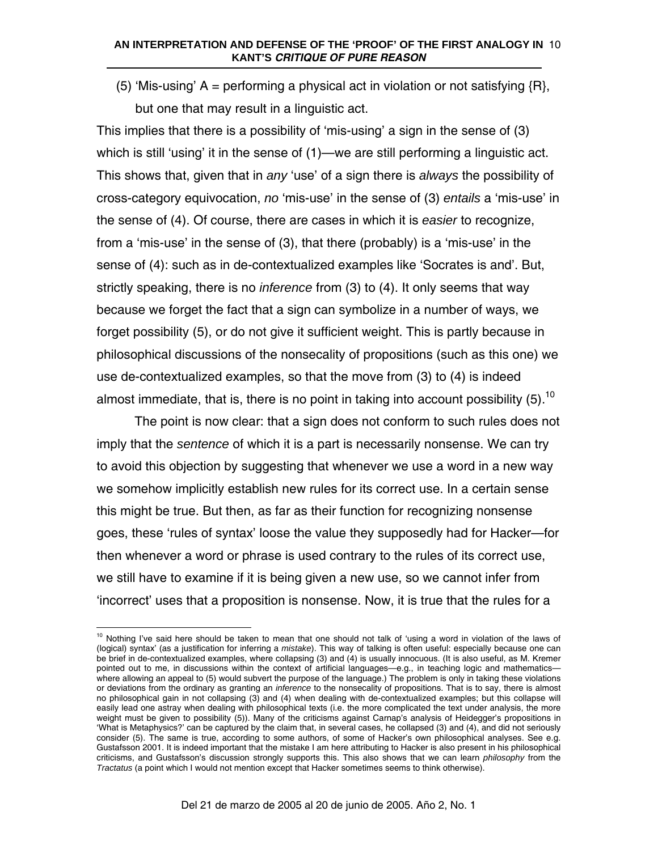### **AN INTERPRETATION AND DEFENSE OF THE 'PROOF' OF THE FIRST ANALOGY IN**  10 **KANT'S** *CRITIQUE OF PURE REASON*

(5) 'Mis-using'  $A =$  performing a physical act in violation or not satisfying  ${R}$ , but one that may result in a linguistic act.

This implies that there is a possibility of 'mis-using' a sign in the sense of (3) which is still 'using' it in the sense of (1)—we are still performing a linguistic act. This shows that, given that in *any* 'use' of a sign there is *always* the possibility of cross-category equivocation, *no* 'mis-use' in the sense of (3) *entails* a 'mis-use' in the sense of (4). Of course, there are cases in which it is *easier* to recognize, from a 'mis-use' in the sense of (3), that there (probably) is a 'mis-use' in the sense of (4): such as in de-contextualized examples like 'Socrates is and'. But, strictly speaking, there is no *inference* from (3) to (4). It only seems that way because we forget the fact that a sign can symbolize in a number of ways, we forget possibility (5), or do not give it sufficient weight. This is partly because in philosophical discussions of the nonsecality of propositions (such as this one) we use de-contextualized examples, so that the move from (3) to (4) is indeed almost immediate, that is, there is no point in taking into account possibility  $(5)$ .<sup>10</sup>

The point is now clear: that a sign does not conform to such rules does not imply that the *sentence* of which it is a part is necessarily nonsense. We can try to avoid this objection by suggesting that whenever we use a word in a new way we somehow implicitly establish new rules for its correct use. In a certain sense this might be true. But then, as far as their function for recognizing nonsense goes, these 'rules of syntax' loose the value they supposedly had for Hacker—for then whenever a word or phrase is used contrary to the rules of its correct use, we still have to examine if it is being given a new use, so we cannot infer from 'incorrect' uses that a proposition is nonsense. Now, it is true that the rules for a

 $\overline{a}$ 

<span id="page-9-0"></span> $10$  Nothing I've said here should be taken to mean that one should not talk of 'using a word in violation of the laws of (logical) syntax' (as a justification for inferring a *mistake*). This way of talking is often useful: especially because one can be brief in de-contextualized examples, where collapsing (3) and (4) is usually innocuous. (It is also useful, as M. Kremer pointed out to me, in discussions within the context of artificial languages—e.g., in teaching logic and mathematics where allowing an appeal to (5) would subvert the purpose of the language.) The problem is only in taking these violations or deviations from the ordinary as granting an *inference* to the nonsecality of propositions. That is to say, there is almost no philosophical gain in not collapsing (3) and (4) when dealing with de-contextualized examples; but this collapse will easily lead one astray when dealing with philosophical texts (i.e. the more complicated the text under analysis, the more weight must be given to possibility (5)). Many of the criticisms against Carnap's analysis of Heidegger's propositions in 'What is Metaphysics?' can be captured by the claim that, in several cases, he collapsed (3) and (4), and did not seriously consider (5). The same is true, according to some authors, of some of Hacker's own philosophical analyses. See e.g. Gustafsson 2001. It is indeed important that the mistake I am here attributing to Hacker is also present in his philosophical criticisms, and Gustafsson's discussion strongly supports this. This also shows that we can learn *philosophy* from the *Tractatus* (a point which I would not mention except that Hacker sometimes seems to think otherwise).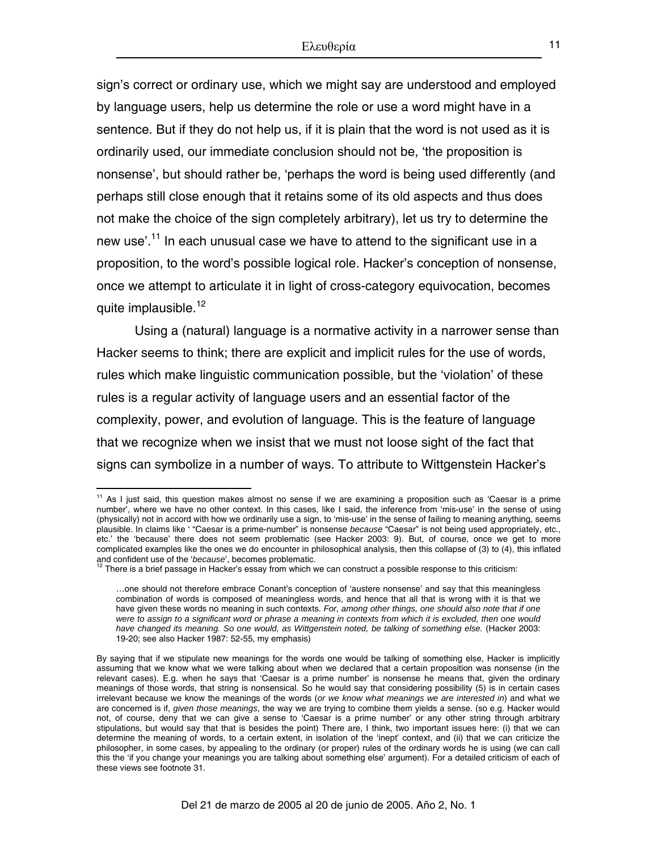sign's correct or ordinary use, which we might say are understood and employed by language users, help us determine the role or use a word might have in a sentence. But if they do not help us, if it is plain that the word is not used as it is ordinarily used, our immediate conclusion should not be, 'the proposition is nonsense', but should rather be, 'perhaps the word is being used differently (and perhaps still close enough that it retains some of its old aspects and thus does not make the choice of the sign completely arbitrary), let us try to determine the new use'.<sup>11</sup> In each unusual case we have to attend to the significant use in a proposition, to the word's possible logical role. Hacker's conception of nonsense, once we attempt to articulate it in light of cross-category equivocation, becomes quite implausible.<sup>[12](#page-10-1)</sup>

Using a (natural) language is a normative activity in a narrower sense than Hacker seems to think; there are explicit and implicit rules for the use of words, rules which make linguistic communication possible, but the 'violation' of these rules is a regular activity of language users and an essential factor of the complexity, power, and evolution of language. This is the feature of language that we recognize when we insist that we must not loose sight of the fact that signs can symbolize in a number of ways. To attribute to Wittgenstein Hacker's

 $\overline{a}$ 

<span id="page-10-0"></span> $11$  As I just said, this question makes almost no sense if we are examining a proposition such as 'Caesar is a prime number', where we have no other context. In this cases, like I said, the inference from 'mis-use' in the sense of using (physically) not in accord with how we ordinarily use a sign, to 'mis-use' in the sense of failing to meaning anything, seems plausible. In claims like ' "Caesar is a prime-number" is nonsense *because* "Caesar" is not being used appropriately, etc., etc.' the 'because' there does not seem problematic (see Hacker 2003: 9). But, of course, once we get to more complicated examples like the ones we do encounter in philosophical analysis, then this collapse of (3) to (4), this inflated and confident use of the '*because*', becomes problematic.<br><sup>12</sup> There is a brief passage in Hacker's essay from which we can construct a possible response to this criticism:

<span id="page-10-1"></span>

<sup>…</sup>one should not therefore embrace Conant's conception of 'austere nonsense' and say that this meaningless combination of words is composed of meaningless words, and hence that all that is wrong with it is that we have given these words no meaning in such contexts. *For, among other things, one should also note that if one were to assign to a significant word or phrase a meaning in contexts from which it is excluded, then one would have changed its meaning. So one would, as Wittgenstein noted, be talking of something else.* (Hacker 2003: 19-20; see also Hacker 1987: 52-55, my emphasis)

By saying that if we stipulate new meanings for the words one would be talking of something else, Hacker is implicitly assuming that we know what we were talking about when we declared that a certain proposition was nonsense (in the relevant cases). E.g. when he says that 'Caesar is a prime number' is nonsense he means that, given the ordinary meanings of those words, that string is nonsensical. So he would say that considering possibility (5) is in certain cases irrelevant because we know the meanings of the words (*or we know what meanings we are interested in*) and what we are concerned is if, *given those meanings*, the way we are trying to combine them yields a sense. (so e.g. Hacker would not, of course, deny that we can give a sense to 'Caesar is a prime number' or any other string through arbitrary stipulations, but would say that that is besides the point) There are, I think, two important issues here: (i) that we can determine the meaning of words, to a certain extent, in isolation of the 'inept' context, and (ii) that we can criticize the philosopher, in some cases, by appealing to the ordinary (or proper) rules of the ordinary words he is using (we can call this the 'if you change your meanings you are talking about something else' argument). For a detailed criticism of each of these views see footnote 31.